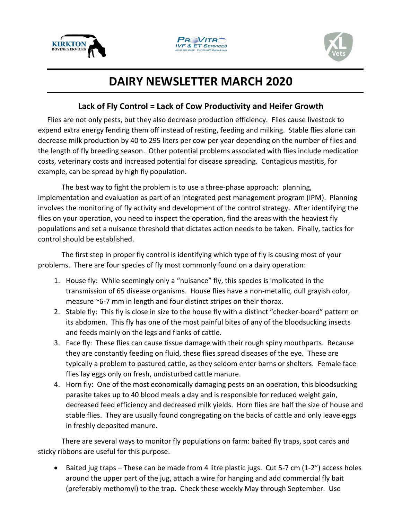





## **DAIRY NEWSLETTER MARCH 2020**

## **Lack of Fly Control = Lack of Cow Productivity and Heifer Growth**

Flies are not only pests, but they also decrease production efficiency. Flies cause livestock to expend extra energy fending them off instead of resting, feeding and milking. Stable flies alone can decrease milk production by 40 to 295 liters per cow per year depending on the number of flies and the length of fly breeding season. Other potential problems associated with flies include medication costs, veterinary costs and increased potential for disease spreading. Contagious mastitis, for example, can be spread by high fly population.

The best way to fight the problem is to use a three-phase approach: planning, implementation and evaluation as part of an integrated pest management program (IPM). Planning involves the monitoring of fly activity and development of the control strategy. After identifying the flies on your operation, you need to inspect the operation, find the areas with the heaviest fly populations and set a nuisance threshold that dictates action needs to be taken. Finally, tactics for control should be established.

The first step in proper fly control is identifying which type of fly is causing most of your problems. There are four species of fly most commonly found on a dairy operation:

- 1. House fly: While seemingly only a "nuisance" fly, this species is implicated in the transmission of 65 disease organisms. House flies have a non-metallic, dull grayish color, measure ~6-7 mm in length and four distinct stripes on their thorax.
- 2. Stable fly: This fly is close in size to the house fly with a distinct "checker-board" pattern on its abdomen. This fly has one of the most painful bites of any of the bloodsucking insects and feeds mainly on the legs and flanks of cattle.
- 3. Face fly: These flies can cause tissue damage with their rough spiny mouthparts. Because they are constantly feeding on fluid, these flies spread diseases of the eye. These are typically a problem to pastured cattle, as they seldom enter barns or shelters. Female face flies lay eggs only on fresh, undisturbed cattle manure.
- 4. Horn fly: One of the most economically damaging pests on an operation, this bloodsucking parasite takes up to 40 blood meals a day and is responsible for reduced weight gain, decreased feed efficiency and decreased milk yields. Horn flies are half the size of house and stable flies. They are usually found congregating on the backs of cattle and only leave eggs in freshly deposited manure.

There are several ways to monitor fly populations on farm: baited fly traps, spot cards and sticky ribbons are useful for this purpose.

• Baited jug traps – These can be made from 4 litre plastic jugs. Cut 5-7 cm (1-2") access holes around the upper part of the jug, attach a wire for hanging and add commercial fly bait (preferably methomyl) to the trap. Check these weekly May through September. Use